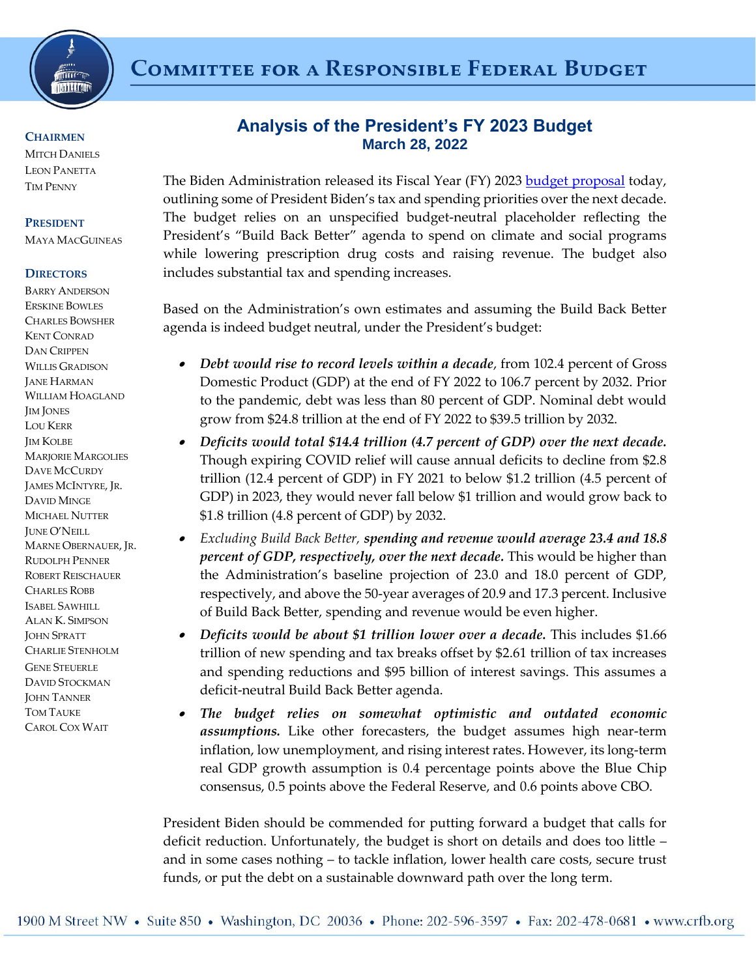

#### **CHAIRMEN**

**MITCH DANIELS** LEON PANETTA TIM PENNY

#### **PRESIDENT**

MAYA MACGUINEAS

### **DIRECTORS**

BARRY ANDERSON ERSKINE BOWLES CHARLES BOWSHER KENT CONRAD DAN CRIPPEN WILLIS GRADISON JANE HARMAN WILLIAM HOAGLAND JIM JONES LOU KERR JIM KOLBE MARJORIE MARGOLIES DAVE MCCURDY JAMES MCINTYRE, JR. DAVID MINGE MICHAEL NUTTER JUNE O'NEILL MARNE OBERNAUER, JR. RUDOLPH PENNER ROBERT REISCHAUER CHARLES ROBB ISABEL SAWHILL ALAN K. SIMPSON JOHN SPRATT CHARLIE STENHOLM GENE STEUERLE DAVID STOCKMAN **JOHN TANNER** TOM TAUKE CAROL COX WAIT

# **Analysis of the President's FY 2023 Budget March 28, 2022**

The Biden Administration released its Fiscal Year (FY) 2023 [budget proposal](https://www.whitehouse.gov/omb/budget/) today, outlining some of President Biden's tax and spending priorities over the next decade. The budget relies on an unspecified budget-neutral placeholder reflecting the President's "Build Back Better" agenda to spend on climate and social programs while lowering prescription drug costs and raising revenue. The budget also includes substantial tax and spending increases.

Based on the Administration's own estimates and assuming the Build Back Better agenda is indeed budget neutral, under the President's budget:

- . *Debt would rise to record levels within a decade*, from 102.4 percent of Gross Domestic Product (GDP) at the end of FY 2022 to 106.7 percent by 2032. Prior to the pandemic, debt was less than 80 percent of GDP. Nominal debt would grow from \$24.8 trillion at the end of FY 2022 to \$39.5 trillion by 2032.
- $\bullet$  *Deficits would total \$14.4 trillion (4.7 percent of GDP) over the next decade.* Though expiring COVID relief will cause annual deficits to decline from \$2.8 trillion (12.4 percent of GDP) in FY 2021 to below \$1.2 trillion (4.5 percent of GDP) in 2023, they would never fall below \$1 trillion and would grow back to \$1.8 trillion (4.8 percent of GDP) by 2032.
- $\bullet$  *Excluding Build Back Better, spending and revenue would average 23.4 and 18.8 percent of GDP, respectively, over the next decade.* This would be higher than the Administration's baseline projection of 23.0 and 18.0 percent of GDP, respectively, and above the 50-year averages of 20.9 and 17.3 percent. Inclusive of Build Back Better, spending and revenue would be even higher.
- $\bullet$  *Deficits would be about \$1 trillion lower over a decade.* This includes \$1.66 trillion of new spending and tax breaks offset by \$2.61 trillion of tax increases and spending reductions and \$95 billion of interest savings. This assumes a deficit-neutral Build Back Better agenda.
- $\bullet$  *The budget relies on somewhat optimistic and outdated economic assumptions.* Like other forecasters, the budget assumes high near-term inflation, low unemployment, and rising interest rates. However, its long-term real GDP growth assumption is 0.4 percentage points above the Blue Chip consensus, 0.5 points above the Federal Reserve, and 0.6 points above CBO.

President Biden should be commended for putting forward a budget that calls for deficit reduction. Unfortunately, the budget is short on details and does too little – and in some cases nothing – to tackle inflation, lower health care costs, secure trust funds, or put the debt on a sustainable downward path over the long term.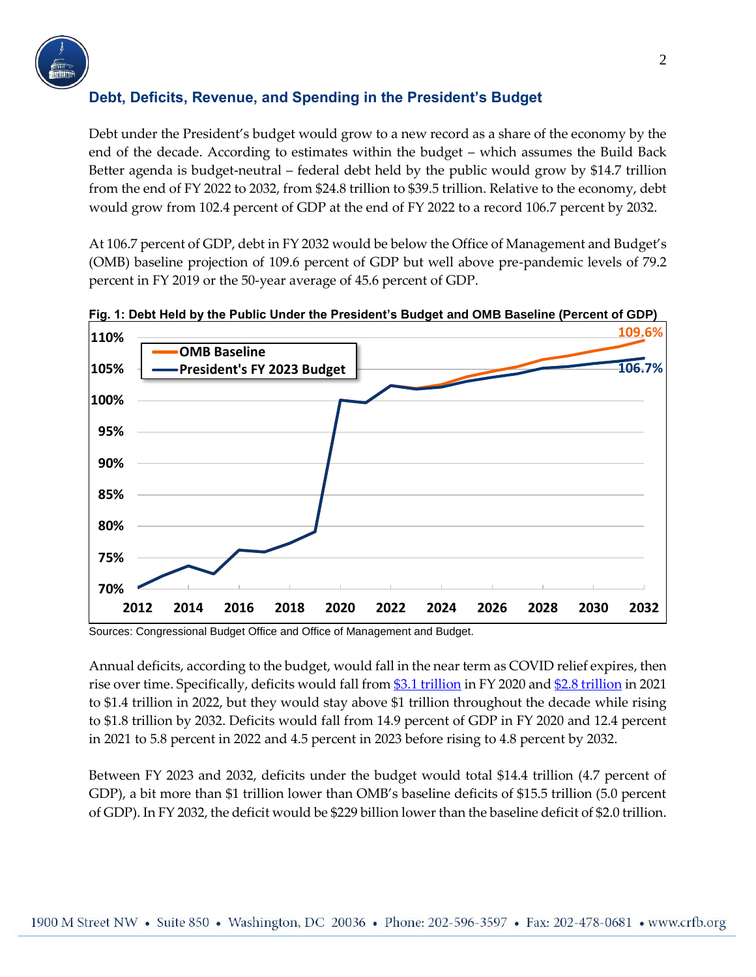

# **Debt, Deficits, Revenue, and Spending in the President's Budget**

Debt under the President's budget would grow to a new record as a share of the economy by the end of the decade. According to estimates within the budget – which assumes the Build Back Better agenda is budget-neutral – federal debt held by the public would grow by \$14.7 trillion from the end of FY 2022 to 2032, from \$24.8 trillion to \$39.5 trillion. Relative to the economy, debt would grow from 102.4 percent of GDP at the end of FY 2022 to a record 106.7 percent by 2032.

At 106.7 percent of GDP, debt in FY 2032 would be below the Office of Management and Budget's (OMB) baseline projection of 109.6 percent of GDP but well above pre-pandemic levels of 79.2 percent in FY 2019 or the 50-year average of 45.6 percent of GDP.



**Fig. 1: Debt Held by the Public Under the President's Budget and OMB Baseline (Percent of GDP)** 

Sources: Congressional Budget Office and Office of Management and Budget.

Annual deficits, according to the budget, would fall in the near term as COVID relief expires, then rise over time. Specifically, deficits would fall from [\\$3.1 trillion](https://www.crfb.org/blogs/closer-look-record-31-trillion-deficit-fy-2020) in FY 2020 and [\\$2.8 trillion](https://www.crfb.org/blogs/treasury-2021-deficit-was-28-trillion) in 2021 to \$1.4 trillion in 2022, but they would stay above \$1 trillion throughout the decade while rising to \$1.8 trillion by 2032. Deficits would fall from 14.9 percent of GDP in FY 2020 and 12.4 percent in 2021 to 5.8 percent in 2022 and 4.5 percent in 2023 before rising to 4.8 percent by 2032.

Between FY 2023 and 2032, deficits under the budget would total \$14.4 trillion (4.7 percent of GDP), a bit more than \$1 trillion lower than OMB's baseline deficits of \$15.5 trillion (5.0 percent of GDP). In FY 2032, the deficit would be \$229 billion lower than the baseline deficit of \$2.0 trillion.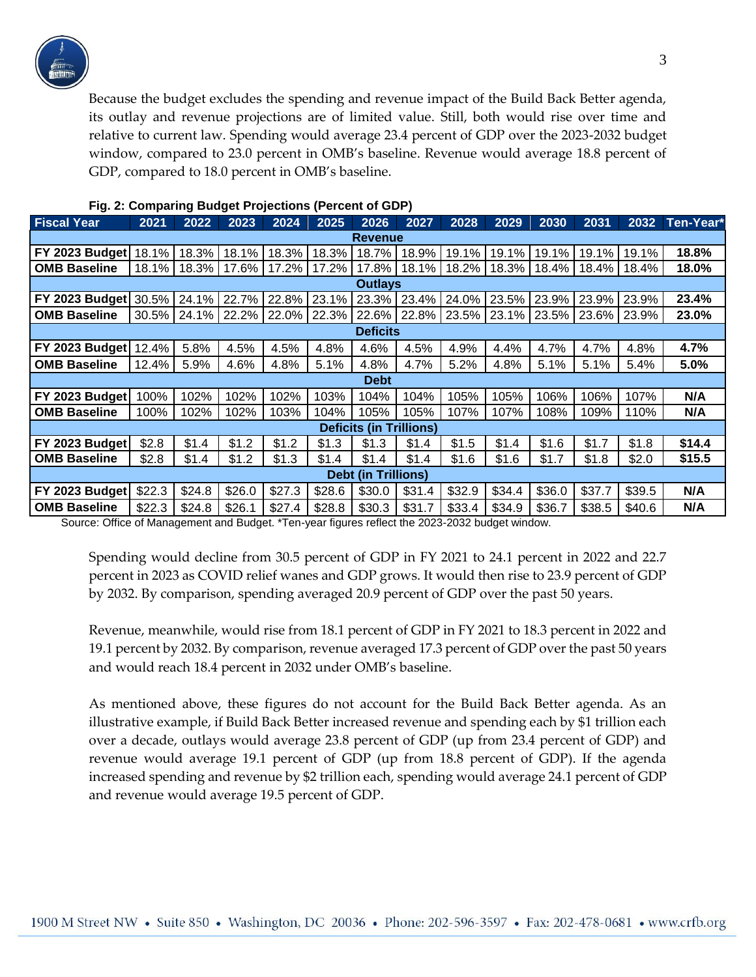

Because the budget excludes the spending and revenue impact of the Build Back Better agenda, its outlay and revenue projections are of limited value. Still, both would rise over time and relative to current law. Spending would average 23.4 percent of GDP over the 2023-2032 budget window, compared to 23.0 percent in OMB's baseline. Revenue would average 18.8 percent of GDP, compared to 18.0 percent in OMB's baseline.

| <b>Fiscal Year</b>             | 2021   | 2022   | 2023   | 2024   | 2025   | 2026   | 2027   | 2028   | 2029   | 2030   | 2031    | 2032   | Ten-Year* |
|--------------------------------|--------|--------|--------|--------|--------|--------|--------|--------|--------|--------|---------|--------|-----------|
| <b>Revenue</b>                 |        |        |        |        |        |        |        |        |        |        |         |        |           |
| FY 2023 Budget 18.1%           |        | 18.3%  | 18.1%  | 18.3%  | 18.3%  | 18.7%  | 18.9%  | 19.1%  | 19.1%  | 19.1%  | 19.1%   | 19.1%  | 18.8%     |
| <b>OMB Baseline</b>            | 18.1%  | 18.3%  | 17.6%  | 17.2%  | 17.2%  | 17.8%  | 18.1%  | 18.2%  | 18.3%  | 18.4%  | 18.4% L | 18.4%  | 18.0%     |
| <b>Outlays</b>                 |        |        |        |        |        |        |        |        |        |        |         |        |           |
| FY 2023 Budget                 | 30.5%  | 24.1%  | 22.7%  | 22.8%  | 23.1%  | 23.3%  | 23.4%  | 24.0%  | 23.5%  | 23.9%  | 23.9%   | 23.9%  | 23.4%     |
| <b>OMB Baseline</b>            | 30.5%  | 24.1%  | 22.2%  | 22.0%  | 22.3%  | 22.6%  | 22.8%  | 23.5%  | 23.1%  | 23.5%  | 23.6%   | 23.9%  | 23.0%     |
| <b>Deficits</b>                |        |        |        |        |        |        |        |        |        |        |         |        |           |
| FY 2023 Budget                 | 12.4%  | 5.8%   | 4.5%   | 4.5%   | 4.8%   | 4.6%   | 4.5%   | 4.9%   | 4.4%   | 4.7%   | 4.7%    | 4.8%   | 4.7%      |
| <b>OMB Baseline</b>            | 12.4%  | 5.9%   | 4.6%   | 4.8%   | 5.1%   | 4.8%   | 4.7%   | 5.2%   | 4.8%   | 5.1%   | 5.1%    | 5.4%   | 5.0%      |
| <b>Debt</b>                    |        |        |        |        |        |        |        |        |        |        |         |        |           |
| FY 2023 Budget                 | 100%   | 102%   | 102%   | 102%   | 103%   | 104%   | 104%   | 105%   | 105%   | 106%   | 106%    | 107%   | N/A       |
| <b>OMB Baseline</b>            | 100%   | 102%   | 102%   | 103%   | 104%   | 105%   | 105%   | 107%   | 107%   | 108%   | 109%    | 110%   | N/A       |
| <b>Deficits (in Trillions)</b> |        |        |        |        |        |        |        |        |        |        |         |        |           |
| FY 2023 Budget                 | \$2.8  | \$1.4  | \$1.2  | \$1.2  | \$1.3  | \$1.3  | \$1.4  | \$1.5  | \$1.4  | \$1.6  | \$1.7   | \$1.8  | \$14.4    |
| <b>OMB Baseline</b>            | \$2.8  | \$1.4  | \$1.2  | \$1.3  | \$1.4  | \$1.4  | \$1.4  | \$1.6  | \$1.6  | \$1.7  | \$1.8   | \$2.0  | \$15.5    |
| <b>Debt (in Trillions)</b>     |        |        |        |        |        |        |        |        |        |        |         |        |           |
| FY 2023 Budget                 | \$22.3 | \$24.8 | \$26.0 | \$27.3 | \$28.6 | \$30.0 | \$31.4 | \$32.9 | \$34.4 | \$36.0 | \$37.7  | \$39.5 | N/A       |
| <b>OMB Baseline</b>            | \$22.3 | \$24.8 | \$26.1 | \$27.4 | \$28.8 | \$30.3 | \$31.7 | \$33.4 | \$34.9 | \$36.7 | \$38.5  | \$40.6 | N/A       |

### **Fig. 2: Comparing Budget Projections (Percent of GDP)**

Source: Office of Management and Budget. \*Ten-year figures reflect the 2023-2032 budget window.

Spending would decline from 30.5 percent of GDP in FY 2021 to 24.1 percent in 2022 and 22.7 percent in 2023 as COVID relief wanes and GDP grows. It would then rise to 23.9 percent of GDP by 2032. By comparison, spending averaged 20.9 percent of GDP over the past 50 years.

Revenue, meanwhile, would rise from 18.1 percent of GDP in FY 2021 to 18.3 percent in 2022 and 19.1 percent by 2032. By comparison, revenue averaged 17.3 percent of GDP over the past 50 years and would reach 18.4 percent in 2032 under OMB's baseline.

As mentioned above, these figures do not account for the Build Back Better agenda. As an illustrative example, if Build Back Better increased revenue and spending each by \$1 trillion each over a decade, outlays would average 23.8 percent of GDP (up from 23.4 percent of GDP) and revenue would average 19.1 percent of GDP (up from 18.8 percent of GDP). If the agenda increased spending and revenue by \$2 trillion each, spending would average 24.1 percent of GDP and revenue would average 19.5 percent of GDP.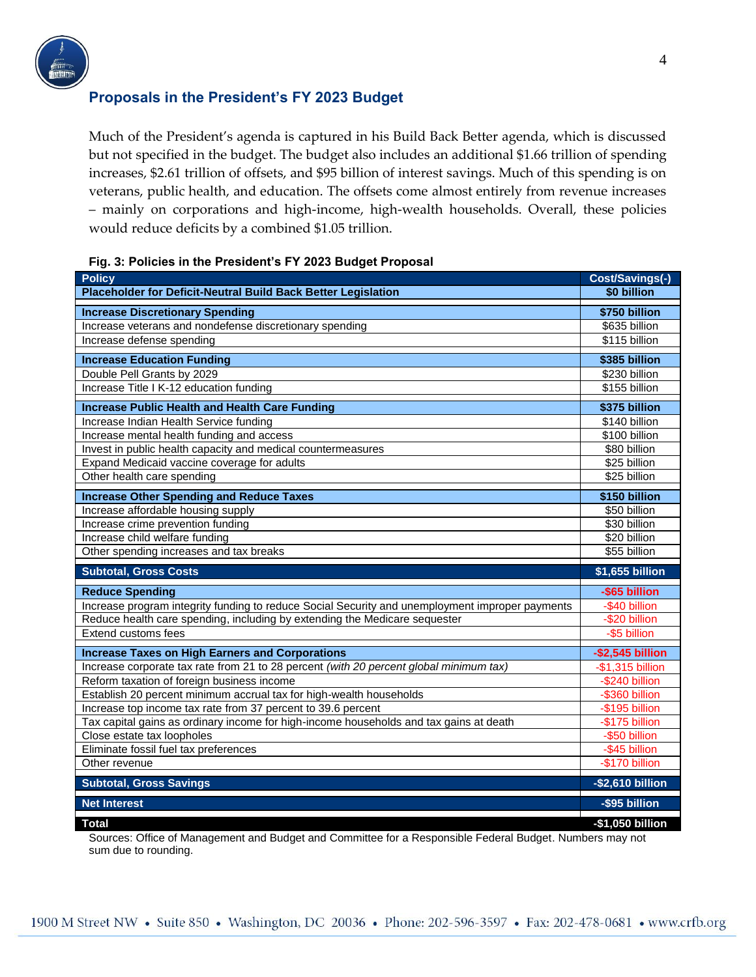

### **Proposals in the President's FY 2023 Budget**

Much of the President's agenda is captured in his Build Back Better agenda, which is discussed but not specified in the budget. The budget also includes an additional \$1.66 trillion of spending increases, \$2.61 trillion of offsets, and \$95 billion of interest savings. Much of this spending is on veterans, public health, and education. The offsets come almost entirely from revenue increases – mainly on corporations and high-income, high-wealth households. Overall, these policies would reduce deficits by a combined \$1.05 trillion.

| <b>Policy</b>                                                                                   | Cost/Savings(-)     |
|-------------------------------------------------------------------------------------------------|---------------------|
| Placeholder for Deficit-Neutral Build Back Better Legislation                                   | \$0 billion         |
| <b>Increase Discretionary Spending</b>                                                          | \$750 billion       |
| Increase veterans and nondefense discretionary spending                                         | \$635 billion       |
| Increase defense spending                                                                       | \$115 billion       |
| <b>Increase Education Funding</b>                                                               | \$385 billion       |
| Double Pell Grants by 2029                                                                      | \$230 billion       |
| Increase Title I K-12 education funding                                                         | \$155 billion       |
| <b>Increase Public Health and Health Care Funding</b>                                           | \$375 billion       |
| Increase Indian Health Service funding                                                          | \$140 billion       |
| Increase mental health funding and access                                                       | \$100 billion       |
| Invest in public health capacity and medical countermeasures                                    | \$80 billion        |
| Expand Medicaid vaccine coverage for adults                                                     | \$25 billion        |
| Other health care spending                                                                      | \$25 billion        |
| <b>Increase Other Spending and Reduce Taxes</b>                                                 | \$150 billion       |
| Increase affordable housing supply                                                              | \$50 billion        |
| Increase crime prevention funding                                                               | \$30 billion        |
| Increase child welfare funding                                                                  | \$20 billion        |
| Other spending increases and tax breaks                                                         | \$55 billion        |
| <b>Subtotal, Gross Costs</b>                                                                    | \$1,655 billion     |
| <b>Reduce Spending</b>                                                                          | -\$65 billion       |
| Increase program integrity funding to reduce Social Security and unemployment improper payments | -\$40 billion       |
| Reduce health care spending, including by extending the Medicare sequester                      | -\$20 billion       |
| Extend customs fees                                                                             | -\$5 billion        |
| <b>Increase Taxes on High Earners and Corporations</b>                                          | $-$ \$2,545 billion |
| Increase corporate tax rate from 21 to 28 percent (with 20 percent global minimum tax)          | $-$1,315$ billion   |
| Reform taxation of foreign business income                                                      | -\$240 billion      |
| Establish 20 percent minimum accrual tax for high-wealth households                             | $-$ \$360 billion   |
| Increase top income tax rate from 37 percent to 39.6 percent                                    | -\$195 billion      |
| Tax capital gains as ordinary income for high-income households and tax gains at death          | -\$175 billion      |
| Close estate tax loopholes                                                                      | -\$50 billion       |
| Eliminate fossil fuel tax preferences                                                           | -\$45 billion       |
| Other revenue                                                                                   | -\$170 billion      |
| <b>Subtotal, Gross Savings</b>                                                                  | -\$2,610 billion    |
| <b>Net Interest</b>                                                                             | -\$95 billion       |
| <b>Total</b>                                                                                    | -\$1,050 billion    |

#### **Fig. 3: Policies in the President's FY 2023 Budget Proposal**

Sources: Office of Management and Budget and Committee for a Responsible Federal Budget. Numbers may not sum due to rounding.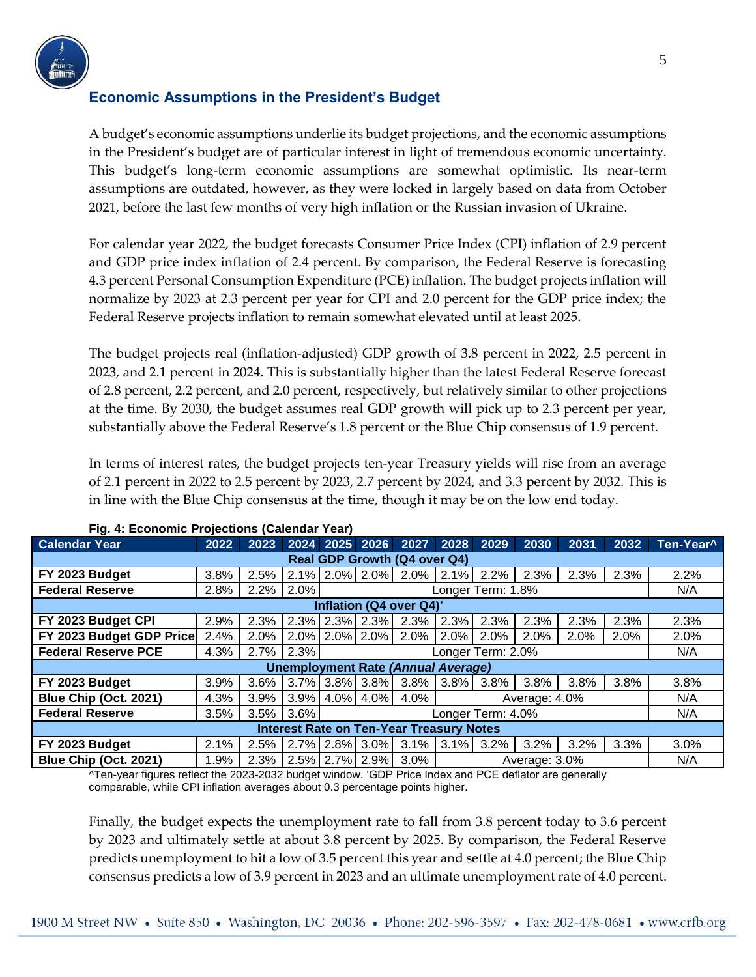

## **Economic Assumptions in the President's Budget**

A budget's economic assumptions underlie its budget projections, and the economic assumptions in the President's budget are of particular interest in light of tremendous economic uncertainty. This budget's long-term economic assumptions are somewhat optimistic. Its near-term assumptions are outdated, however, as they were locked in largely based on data from October 2021, before the last few months of very high inflation or the Russian invasion of Ukraine.

For calendar year 2022, the budget forecasts Consumer Price Index (CPI) inflation of 2.9 percent and GDP price index inflation of 2.4 percent. By comparison, the Federal Reserve is forecasting 4.3 percent Personal Consumption Expenditure (PCE) inflation. The budget projects inflation will normalize by 2023 at 2.3 percent per year for CPI and 2.0 percent for the GDP price index; the Federal Reserve projects inflation to remain somewhat elevated until at least 2025.

The budget projects real (inflation-adjusted) GDP growth of 3.8 percent in 2022, 2.5 percent in 2023, and 2.1 percent in 2024. This is substantially higher than the latest Federal Reserve forecast of 2.8 percent, 2.2 percent, and 2.0 percent, respectively, but relatively similar to other projections at the time. By 2030, the budget assumes real GDP growth will pick up to 2.3 percent per year, substantially above the Federal Reserve's 1.8 percent or the Blue Chip consensus of 1.9 percent.

In terms of interest rates, the budget projects ten-year Treasury yields will rise from an average of 2.1 percent in 2022 to 2.5 percent by 2023, 2.7 percent by 2024, and 3.3 percent by 2032. This is in line with the Blue Chip consensus at the time, though it may be on the low end today.

| <b>Calendar Year</b>                            | 2022 |      |      |                   |                                            | 2023 2024 2025 2026 2027 2028 2029 |      |              | 2030    | 2031 | 2032 | Ten-Year^ |
|-------------------------------------------------|------|------|------|-------------------|--------------------------------------------|------------------------------------|------|--------------|---------|------|------|-----------|
| <b>Real GDP Growth (Q4 over Q4)</b>             |      |      |      |                   |                                            |                                    |      |              |         |      |      |           |
| FY 2023 Budget                                  | 3.8% | 2.5% |      |                   |                                            | $2.1\%$ 2.0% 2.0% 2.0% 2.1% 2.2%   |      |              | 2.3%    | 2.3% | 2.3% | 2.2%      |
| <b>Federal Reserve</b>                          | 2.8% | 2.2% | 2.0% |                   | N/A                                        |                                    |      |              |         |      |      |           |
| Inflation (Q4 over Q4)'                         |      |      |      |                   |                                            |                                    |      |              |         |      |      |           |
| FY 2023 Budget CPI                              | 2.9% | 2.3% |      |                   | 2.3% 2.3% 2.3%                             | 2.3%                               | 2.3% | 2.3%         | 2.3%    | 2.3% | 2.3% | 2.3%      |
| FY 2023 Budget GDP Price                        | 2.4% | 2.0% |      |                   | 2.0% 2.0% 2.0%                             | 2.0%                               | 2.0% | 2.0%         | 2.0%    | 2.0% | 2.0% | 2.0%      |
| <b>Federal Reserve PCE</b>                      | 4.3% | 2.7% | 2.3% |                   | N/A                                        |                                    |      |              |         |      |      |           |
| <b>Unemployment Rate (Annual Average)</b>       |      |      |      |                   |                                            |                                    |      |              |         |      |      |           |
| FY 2023 Budget                                  | 3.9% | 3.6% |      |                   | $3.7\%$ 3.8% 3.8%                          | 3.8%                               |      | 3.8% 3.8%    | 3.8%    | 3.8% | 3.8% | 3.8%      |
| Blue Chip (Oct. 2021)                           | 4.3% | 3.9% |      |                   | $3.9\%$ 4.0% 4.0%<br>4.0%<br>Average: 4.0% |                                    |      |              |         |      |      | N/A       |
| <b>Federal Reserve</b>                          | 3.5% | 3.5% | 3.6% | Longer Term: 4.0% |                                            |                                    |      |              |         |      |      | N/A       |
| <b>Interest Rate on Ten-Year Treasury Notes</b> |      |      |      |                   |                                            |                                    |      |              |         |      |      |           |
| FY 2023 Budget                                  | 2.1% | 2.5% |      |                   | 2.7% 2.8% 3.0%                             | $3.1\%$                            |      | $3.1\%$ 3.2% | $3.2\%$ | 3.2% | 3.3% | 3.0%      |
| Blue Chip (Oct. 2021)                           | 1.9% | 2.3% |      |                   | $2.5\%$ 2.7% 2.9%                          | 3.0%                               |      | N/A          |         |      |      |           |

### **Fig. 4: Economic Projections (Calendar Year)**

^Ten-year figures reflect the 2023-2032 budget window. 'GDP Price Index and PCE deflator are generally comparable, while CPI inflation averages about 0.3 percentage points higher.

Finally, the budget expects the unemployment rate to fall from 3.8 percent today to 3.6 percent by 2023 and ultimately settle at about 3.8 percent by 2025. By comparison, the Federal Reserve predicts unemployment to hit a low of 3.5 percent this year and settle at 4.0 percent; the Blue Chip consensus predicts a low of 3.9 percent in 2023 and an ultimate unemployment rate of 4.0 percent.